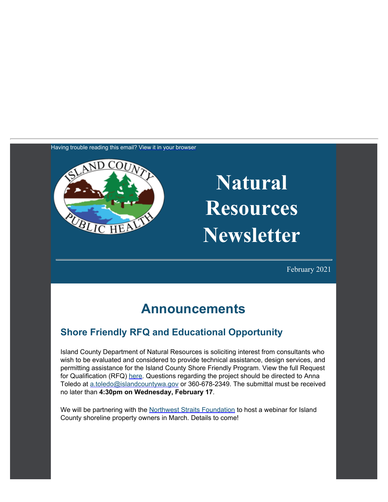Having trouble reading this email? [View it in your browser](https://content.govdelivery.com/accounts/WACOISLAND/bulletins/2be5be7)



# **Natural Resources Newsletter**

February 2021

## **Announcements**

#### **Shore Friendly RFQ and Educational Opportunity**

Island County Department of Natural Resources is soliciting interest from consultants who wish to be evaluated and considered to provide technical assistance, design services, and permitting assistance for the Island County Shore Friendly Program. View the full Request for Qualification (RFQ) [here](https://www.islandcountywa.gov/Pages/rfp.aspx?utm_content=&utm_medium=email&utm_name=&utm_source=govdelivery&utm_term=). Questions regarding the project should be directed to Anna Toledo at [a.toledo@islandcountywa.gov](mailto:a.toledo@islandcountywa.gov) or 360-678-2349. The submittal must be received no later than **4:30pm on Wednesday, February 17**.

We will be partnering with the [Northwest Straits Foundation](https://nwstraitsfoundation.org/?utm_content=&utm_medium=email&utm_name=&utm_source=govdelivery&utm_term=) to host a webinar for Island County shoreline property owners in March. Details to come!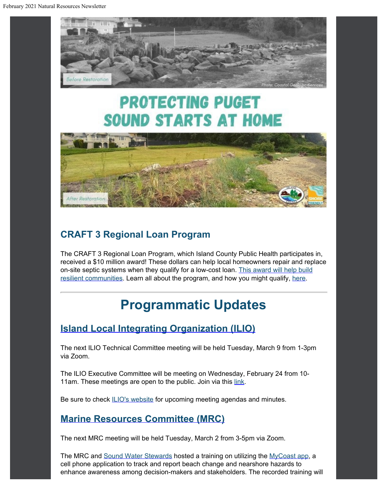

## **PROTECTING PUGET SOUND STARTS AT HOME**



#### **CRAFT 3 Regional Loan Program**

The CRAFT 3 Regional Loan Program, which Island County Public Health participates in, received a \$10 million award! These dollars can help local homeowners repair and replace on-site septic systems when they qualify for a low-cost loan. [This award will help build](https://www.craft3.org/About/News/News-Detail/2020/12/15/mackenzie-scott?utm_content=&utm_medium=email&utm_name=&utm_source=govdelivery&utm_term=) [resilient](https://www.craft3.org/About/News/News-Detail/2020/12/15/mackenzie-scott?utm_content=&utm_medium=email&utm_name=&utm_source=govdelivery&utm_term=) [communities.](https://www.craft3.org/About/News/News-Detail/2020/12/15/mackenzie-scott?utm_content=&utm_medium=email&utm_name=&utm_source=govdelivery&utm_term=) Learn all about the program, and how you might qualify, [here](https://www.craft3.org/?utm_content=&utm_medium=email&utm_name=&utm_source=govdelivery&utm_term=).

## **Programmatic Updates**

#### **[Island](https://www.islandcountywa.gov/Health/DNR/ILIO/Pages/Home.aspx?utm_content=&utm_medium=email&utm_name=&utm_source=govdelivery&utm_term=) [Local Integrating Organization \(ILIO\)](https://www.islandcountywa.gov/Health/DNR/ILIO/Pages/Home.aspx?utm_content=&utm_medium=email&utm_name=&utm_source=govdelivery&utm_term=)**

The next ILIO Technical Committee meeting will be held Tuesday, March 9 from 1-3pm via Zoom.

The ILIO Executive Committee will be meeting on Wednesday, February 24 from 10 11am. These meetings are open to the public. Join via this [link](https://us02web.zoom.us/j/8916288784?pwd=TjJ5NGZ6M1p2SVlOakdyb0R0OTRmdz09&utm_content=&utm_medium=email&utm_name=&utm_source=govdelivery&utm_term=).

Be sure to check [ILIO's website](https://www.islandcountywa.gov/Health/DNR/ILIO/Pages/ILIO-Agendas--Minutes.aspx?utm_content=&utm_medium=email&utm_name=&utm_source=govdelivery&utm_term=) for upcoming meeting agendas and minutes.

#### **[Marine Resources Committee \(MRC\)](https://www.islandcountymrc.org/?utm_content=&utm_medium=email&utm_name=&utm_source=govdelivery&utm_term=)**

The next MRC meeting will be held Tuesday, March 2 from 3-5pm via Zoom.

The MRC and [Sound](https://soundwaterstewards.org/web/?utm_content=&utm_medium=email&utm_name=&utm_source=govdelivery&utm_term=) [Water Stewards](https://soundwaterstewards.org/web/?utm_content=&utm_medium=email&utm_name=&utm_source=govdelivery&utm_term=) hosted a training on utilizing the [MyCoast](https://mycoast.org/wa?utm_content=&utm_medium=email&utm_name=&utm_source=govdelivery&utm_term=) [app](https://mycoast.org/wa?utm_content=&utm_medium=email&utm_name=&utm_source=govdelivery&utm_term=), a cell phone application to track and report beach change and nearshore hazards to enhance awareness among decision-makers and stakeholders. The recorded training will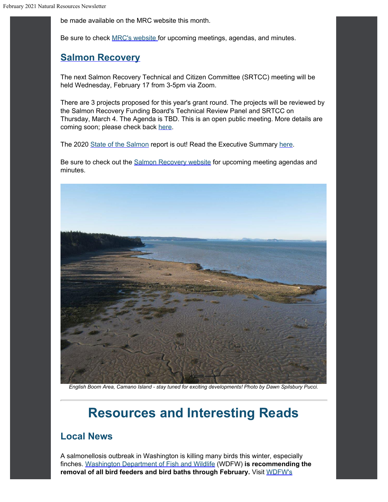be made available on the MRC website this month.

Be sure to check [MRC's website](https://www.islandcountymrc.org/meetings-events/?utm_content=&utm_medium=email&utm_name=&utm_source=govdelivery&utm_term=) for upcoming meetings, agendas, and minutes.

#### **[Salmon](https://www.islandcountywa.gov/Health/DNR/Salmon/Pages/Home.aspx?utm_content=&utm_medium=email&utm_name=&utm_source=govdelivery&utm_term=) [Recovery](https://www.islandcountywa.gov/Health/DNR/Salmon/Pages/Home.aspx?utm_content=&utm_medium=email&utm_name=&utm_source=govdelivery&utm_term=)**

The next Salmon Recovery Technical and Citizen Committee (SRTCC) meeting will be held Wednesday, February 17 from 3-5pm via Zoom.

There are 3 projects proposed for this year's grant round. The projects will be reviewed by the Salmon Recovery Funding Board's Technical Review Panel and SRTCC on Thursday, March 4. The Agenda is TBD. This is an open public meeting. More details are coming soon; please check back [here](https://www.islandcountywa.gov/Health/DNR/Salmon/Pages/SFRB-Grant-Funding.aspx?utm_content=&utm_medium=email&utm_name=&utm_source=govdelivery&utm_term=).

The 2020 [State of the Salmon](https://stateofsalmon.wa.gov/?utm_content=&utm_medium=email&utm_name=&utm_source=govdelivery&utm_term=) report is out! Read the Executive Summary [here](https://stateofsalmon.wa.gov/wp-content/uploads/2020/12/StateofSalmonExecSummary2020.pdf?utm_content=&utm_medium=email&utm_name=&utm_source=govdelivery&utm_term=).

Be sure to check out the **Salmon Recovery website** for upcoming meeting agendas and minutes.



*English Boom Area, Camano Island - stay tuned for exciting developments! Photo by Dawn Spilsbury Pucci.*

## **Resources and Interesting Reads**

#### **Local News**

A salmonellosis outbreak in Washington is killing many birds this winter, especially finches. [Washington Department of Fish and Wildlife](https://wdfw.wa.gov/news/help-protect-wild-birds-deadly-salmonellosis?utm_content=&utm_medium=email&utm_name=&utm_source=govdelivery&utm_term=) (WDFW) **is recommending the removal of all bird feeders and bird baths through February.** Visit [WDFW's](https://wdfw.medium.com/frequently-asked-questions-on-salmonellosis-in-wild-birds-cae47b1c13dd?utm_content=&utm_medium=email&utm_name=&utm_source=govdelivery&utm_term=)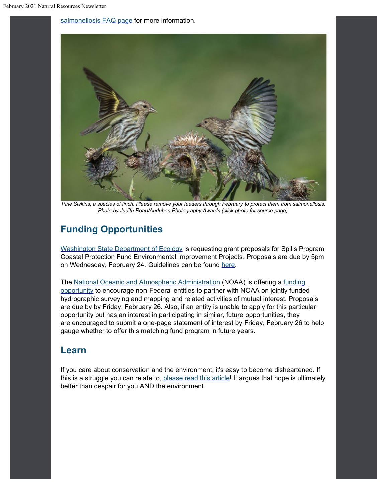[salmonellosis FAQ page](https://wdfw.medium.com/frequently-asked-questions-on-salmonellosis-in-wild-birds-cae47b1c13dd?utm_content=&utm_medium=email&utm_name=&utm_source=govdelivery&utm_term=) for more information.



*Pine Siskins, a species of finch. Please remove your feeders through February to protect them from salmonellosis. Photo by Judith Roan/Audubon Photography Awards (click photo for source page).*

#### **Funding Opportunities**

[Washington State Department of Ecology](https://ecology.wa.gov/About-us/How-we-operate/Grants-loans?utm_content=&utm_medium=email&utm_name=&utm_source=govdelivery&utm_term=#Apply) is requesting grant proposals for Spills Program Coastal Protection Fund Environmental Improvement Projects. Proposals are due by 5pm on Wednesday, February 24. Guidelines can be found [here](https://apps.ecology.wa.gov/publications/summarypages/2108005.html?utm_content=&utm_medium=email&utm_name=&utm_source=govdelivery&utm_term=).

The [National Oceanic and Atmospheric Administration](http://www.noaa.gov/?utm_content=&utm_medium=email&utm_name=&utm_source=govdelivery&utm_term=) (NOAA) is offering a [funding](https://www.federalregister.gov/documents/2021/01/12/2021-00385/notice-of-matching-fund-opportunity-for-hydrographic-surveys-and-request-for-partnership-proposals?utm_content=&utm_medium=email&utm_name=&utm_source=govdelivery&utm_term=) [opportunity](https://www.federalregister.gov/documents/2021/01/12/2021-00385/notice-of-matching-fund-opportunity-for-hydrographic-surveys-and-request-for-partnership-proposals?utm_content=&utm_medium=email&utm_name=&utm_source=govdelivery&utm_term=) to encourage non-Federal entities to partner with NOAA on jointly funded hydrographic surveying and mapping and related activities of mutual interest. Proposals are due by by Friday, February 26. Also, if an entity is unable to apply for this particular opportunity but has an interest in participating in similar, future opportunities, they are encouraged to submit a one-page statement of interest by Friday, February 26 to help gauge whether to offer this matching fund program in future years.

#### **Learn**

If you care about conservation and the environment, it's easy to become disheartened. If this is a struggle you can relate to, [please read this article!](https://www.hakaimagazine.com/features/an-antidote-for-environmental-despair/?utm_content=&utm_medium=email&utm_name=&utm_source=govdelivery&utm_term=) It argues that hope is ultimately better than despair for you AND the environment.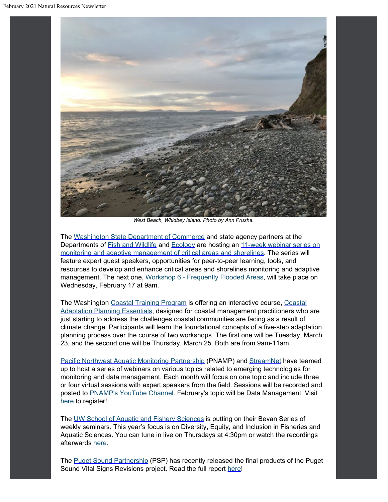

*West Beach, Whidbey Island. Photo by Ann Prusha.*

The [Washington State Department of Commerce](https://lnks.gd/l/eyJhbGciOiJIUzI1NiJ9.eyJidWxsZXRpbl9saW5rX2lkIjoxMjUsInVyaSI6ImJwMjpjbGljayIsImJ1bGxldGluX2lkIjoiMjAyMDEyMDguMzE3Njg0OTEiLCJ1cmwiOiJodHRwczovL2xua3MuZ2QvbC9leUpoYkdjaU9pSklVekkxTmlKOS5leUppZFd4c1pYUnBibDlzYVc1clgybGtJam94TXpVc0luVnlhU0k2SW1Kd01qcGpiR2xqYXlJc0ltSjFiR3hsZEdsdVgybGtJam9pTWpBeU1ERXhNRFl1TXpBd01qWTRPREVpTENKMWNtd2lPaUpvZEhSd2N6b3ZMM2QzZHk1amIyMXRaWEpqWlM1M1lTNW5iM1l2YzJWeWRtbHVaeTFqYjIxdGRXNXBkR2xsY3k5bmNtOTNkR2d0YldGdVlXZGxiV1Z1ZEM5bmNtOTNkR2d0YldGdVlXZGxiV1Z1ZEMxMGIzQnBZM012WTNKcGRHbGpZV3d0WVhKbFlYTXZQM1YwYlY5amIyNTBaVzUwUFNaMWRHMWZiV1ZrYVhWdFBXVnRZV2xzSm5WMGJWOXVZVzFsUFNaMWRHMWZjMjkxY21ObFBXZHZkbVJsYkdsMlpYSjVKblYwYlY5MFpYSnRQU0o5LkwxMERPZU11SFpZck1YMWZkZndUN1FJMUpSVkQ1cVZuRUV4ZDVQdWpwakUvcy8xMTE5MjY0Mzg3L2JyLzg4MTA4NjQ0MzE4LWw_dXRtX2NvbnRlbnQ9JnV0bV9tZWRpdW09ZW1haWwmdXRtX25hbWU9JnV0bV9zb3VyY2U9Z292ZGVsaXZlcnkmdXRtX3Rlcm09In0.4CoGHwzDy3dYhNsqJIx43e9MYcJCFCEBidr9srUShKo/s/1119264387/br/91325605607-l?utm_content=&utm_medium=email&utm_name=&utm_source=govdelivery&utm_term=) and state agency partners at the Departments of [Fish and Wildlife](https://lnks.gd/l/eyJhbGciOiJIUzI1NiJ9.eyJidWxsZXRpbl9saW5rX2lkIjoxMjYsInVyaSI6ImJwMjpjbGljayIsImJ1bGxldGluX2lkIjoiMjAyMDEyMDguMzE3Njg0OTEiLCJ1cmwiOiJodHRwczovL2xua3MuZ2QvbC9leUpoYkdjaU9pSklVekkxTmlKOS5leUppZFd4c1pYUnBibDlzYVc1clgybGtJam94TXpZc0luVnlhU0k2SW1Kd01qcGpiR2xqYXlJc0ltSjFiR3hsZEdsdVgybGtJam9pTWpBeU1ERXhNRFl1TXpBd01qWTRPREVpTENKMWNtd2lPaUpvZEhSd2N6b3ZMM2RrWm5jdWQyRXVaMjkyTHo5MWRHMWZZMjl1ZEdWdWREMG1kWFJ0WDIxbFpHbDFiVDFsYldGcGJDWjFkRzFmYm1GdFpUMG1kWFJ0WDNOdmRYSmpaVDFuYjNaa1pXeHBkbVZ5ZVNaMWRHMWZkR1Z5YlQwaWZRLlpjRThlRnNKLXdJX0F6VmRZTzV6QkVwaGNlMjRwUVRmd242MzdZc21LbUUvcy8xMTE5MjY0Mzg3L2JyLzg4MTA4NjQ0MzE4LWw_dXRtX2NvbnRlbnQ9JnV0bV9tZWRpdW09ZW1haWwmdXRtX25hbWU9JnV0bV9zb3VyY2U9Z292ZGVsaXZlcnkmdXRtX3Rlcm09In0.VpK12PDwRq2FLLypgiDL9dbQxZA1Ozx9qU7cH6wLMpA/s/1119264387/br/91325605607-l?utm_content=&utm_medium=email&utm_name=&utm_source=govdelivery&utm_term=) and [Ecology](https://lnks.gd/l/eyJhbGciOiJIUzI1NiJ9.eyJidWxsZXRpbl9saW5rX2lkIjoxMjcsInVyaSI6ImJwMjpjbGljayIsImJ1bGxldGluX2lkIjoiMjAyMDEyMDguMzE3Njg0OTEiLCJ1cmwiOiJodHRwczovL2xua3MuZ2QvbC9leUpoYkdjaU9pSklVekkxTmlKOS5leUppZFd4c1pYUnBibDlzYVc1clgybGtJam94TXpjc0luVnlhU0k2SW1Kd01qcGpiR2xqYXlJc0ltSjFiR3hsZEdsdVgybGtJam9pTWpBeU1ERXhNRFl1TXpBd01qWTRPREVpTENKMWNtd2lPaUpvZEhSd2N6b3ZMMlZqYjJ4dloza3VkMkV1WjI5Mkx6OTFkRzFmWTI5dWRHVnVkRDBtZFhSdFgyMWxaR2wxYlQxbGJXRnBiQ1oxZEcxZmJtRnRaVDBtZFhSdFgzTnZkWEpqWlQxbmIzWmtaV3hwZG1WeWVTWjFkRzFmZEdWeWJUMGlmUS5VTUoyRTlBWUxHS3gxaW9OS3ZadUVfM2ZPUUJsVkNZTmdzNEprM2p4SzZjL3MvMTExOTI2NDM4Ny9ici84ODEwODY0NDMxOC1sP3V0bV9jb250ZW50PSZ1dG1fbWVkaXVtPWVtYWlsJnV0bV9uYW1lPSZ1dG1fc291cmNlPWdvdmRlbGl2ZXJ5JnV0bV90ZXJtPSJ9.BwSyXDKTXanqHYdMl4DscY_jI8OGfXxczk2F4ttRbkI/s/1119264387/br/91325605607-l?utm_content=&utm_medium=email&utm_name=&utm_source=govdelivery&utm_term=) are hosting an [11-week webinar series on](https://lnks.gd/l/eyJhbGciOiJIUzI1NiJ9.eyJidWxsZXRpbl9saW5rX2lkIjoxMjgsInVyaSI6ImJwMjpjbGljayIsImJ1bGxldGluX2lkIjoiMjAyMDEyMDguMzE3Njg0OTEiLCJ1cmwiOiJodHRwczovL3d3dy5lenZpZXcud2EuZ292L3NpdGUvYWxpYXNfXzE5OTIvMzc2NjIvMjAyMV93b3Jrc2hvcHMuYXNweD91dG1fY29udGVudD0mdXRtX21lZGl1bT1lbWFpbCZ1dG1fbmFtZT0mdXRtX3NvdXJjZT1nb3ZkZWxpdmVyeSZ1dG1fdGVybT0ifQ.ro7DvCPAPa7SutvgYhbgRFFWpRhefA1t82Kqv0SotRw/s/1119264387/br/91325605607-l?utm_content=&utm_medium=email&utm_name=&utm_source=govdelivery&utm_term=) [monitoring and](https://lnks.gd/l/eyJhbGciOiJIUzI1NiJ9.eyJidWxsZXRpbl9saW5rX2lkIjoxMjgsInVyaSI6ImJwMjpjbGljayIsImJ1bGxldGluX2lkIjoiMjAyMDEyMDguMzE3Njg0OTEiLCJ1cmwiOiJodHRwczovL3d3dy5lenZpZXcud2EuZ292L3NpdGUvYWxpYXNfXzE5OTIvMzc2NjIvMjAyMV93b3Jrc2hvcHMuYXNweD91dG1fY29udGVudD0mdXRtX21lZGl1bT1lbWFpbCZ1dG1fbmFtZT0mdXRtX3NvdXJjZT1nb3ZkZWxpdmVyeSZ1dG1fdGVybT0ifQ.ro7DvCPAPa7SutvgYhbgRFFWpRhefA1t82Kqv0SotRw/s/1119264387/br/91325605607-l?utm_content=&utm_medium=email&utm_name=&utm_source=govdelivery&utm_term=) [adaptive management of critical areas and shorelines](https://lnks.gd/l/eyJhbGciOiJIUzI1NiJ9.eyJidWxsZXRpbl9saW5rX2lkIjoxMjgsInVyaSI6ImJwMjpjbGljayIsImJ1bGxldGluX2lkIjoiMjAyMDEyMDguMzE3Njg0OTEiLCJ1cmwiOiJodHRwczovL3d3dy5lenZpZXcud2EuZ292L3NpdGUvYWxpYXNfXzE5OTIvMzc2NjIvMjAyMV93b3Jrc2hvcHMuYXNweD91dG1fY29udGVudD0mdXRtX21lZGl1bT1lbWFpbCZ1dG1fbmFtZT0mdXRtX3NvdXJjZT1nb3ZkZWxpdmVyeSZ1dG1fdGVybT0ifQ.ro7DvCPAPa7SutvgYhbgRFFWpRhefA1t82Kqv0SotRw/s/1119264387/br/91325605607-l?utm_content=&utm_medium=email&utm_name=&utm_source=govdelivery&utm_term=). The series will feature expert guest speakers, opportunities for peer-to-peer learning, tools, and resources to develop and enhance critical areas and shorelines monitoring and adaptive management. The next one, [Workshop 6 - Frequently Flooded Areas](https://www.ezview.wa.gov/DesktopModules/CalendarEvents/EventView.aspx?ItemID=395&alias=1992&mid=70375&tabID=37662&utm_content=&utm_medium=email&utm_name=&utm_source=govdelivery&utm_term=), will take place on Wednesday, February 17 at 9am.

The Washington [Coastal Training Program](https://coastaltraining-wa.org/event-4141186?utm_content=&utm_medium=email&utm_name=&utm_source=govdelivery&utm_term=) is offering an interactive course, [Coastal](https://coastaltraining-wa.org/event-4141186?utm_content=&utm_medium=email&utm_name=&utm_source=govdelivery&utm_term=) [Adaptation Planning Essentials,](https://coastaltraining-wa.org/event-4141186?utm_content=&utm_medium=email&utm_name=&utm_source=govdelivery&utm_term=) designed for coastal management practitioners who are just starting to address the challenges coastal communities are facing as a result of climate change. Participants will learn the foundational concepts of a five-step adaptation planning process over the course of two workshops. The first one will be Tuesday, March 23, and the second one will be Thursday, March 25. Both are from 9am-11am.

[Pacific Northwest Aquatic Monitoring](https://www.pnamp.org/project/emerging-technology-information-sessions?utm_content=&utm_medium=email&utm_name=&utm_source=govdelivery&utm_term=) [Partnership](https://www.pnamp.org/project/emerging-technology-information-sessions?utm_content=&utm_medium=email&utm_name=&utm_source=govdelivery&utm_term=) (PNAMP) and [StreamNet](https://www.streamnet.org/?utm_content=&utm_medium=email&utm_name=&utm_source=govdelivery&utm_term=) have teamed up to host a series of webinars on various topics related to emerging technologies for monitoring and data management. Each month will focus on one topic and include three or four virtual sessions with expert speakers from the field. Sessions will be recorded and posted to **PNAMP's YouTube Channel**. February's topic will be Data Management. Visit [here](https://www.pnamp.org/project/emerging-technology-information-sessions?utm_content=&utm_medium=email&utm_name=&utm_source=govdelivery&utm_term=) to register!

The [UW School of Aquatic and Fishery Sciences](https://fish.uw.edu/news-events/seminar-series/bevan-series/?utm_content=&utm_medium=email&utm_name=&utm_source=govdelivery&utm_term=) is putting on their Bevan Series of weekly seminars. This year's focus is on Diversity, Equity, and Inclusion in Fisheries and Aquatic Sciences. You can tune in live on Thursdays at 4:30pm or watch the recordings afterwards [here](https://fish.uw.edu/news-events/seminar-series/bevan-series/?utm_content=&utm_medium=email&utm_name=&utm_source=govdelivery&utm_term=).

The [Puget Sound Partnership](https://www.psp.wa.gov/evaluating-vital-signs.php?utm_content=&utm_medium=email&utm_name=&utm_source=govdelivery&utm_term=) (PSP) has recently released the final products of the Puget Sound Vital Signs Revisions project. Read the full report [here](https://pspwa.app.box.com/s/rqn16bdt9gr6r7gypb399ugv5mlrmidi?utm_content=&utm_medium=email&utm_name=&utm_source=govdelivery&utm_term=)!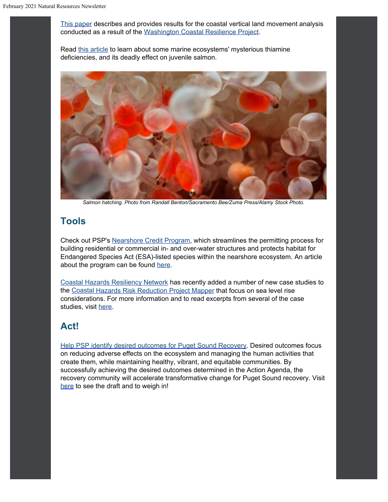[This paper](https://www.mdpi.com/2073-4441/13/3/281?utm_content=&utm_medium=email&utm_name=&utm_source=govdelivery&utm_term=) describes and provides results for the coastal vertical land movement analysis conducted as a result of the [Washington Coastal Resilience Project](https://cig.uw.edu/our-work/applied-research/wcrp/?utm_content=&utm_medium=email&utm_name=&utm_source=govdelivery&utm_term=).

Read [this article](https://www.hakaimagazine.com/features/the-oceans-mysterious-vitamin-deficiency/?utm_content=&utm_medium=email&utm_name=&utm_source=govdelivery&utm_term=) to learn about some marine ecosystems' mysterious thiamine deficiencies, and its deadly effect on juvenile salmon.



*Salmon hatching. Photo from Randall Benton/Sacramento Bee/Zuma Press/Alamy Stock Photo.*

#### **Tools**

Check out PSP's [Nearshore](https://psp.wa.gov/pspnc.php?utm_content=&utm_medium=email&utm_name=&utm_source=govdelivery&utm_term=) [Credit Program](https://psp.wa.gov/pspnc.php?utm_content=&utm_medium=email&utm_name=&utm_source=govdelivery&utm_term=), which streamlines the permitting process for building residential or commercial in- and over-water structures and protects habitat for Endangered Species Act (ESA)-listed species within the nearshore ecosystem. An article about the program can be found [here.](https://medium.com/puget-sound-partnership/puget-sound-partnership-credits-will-fund-nearshore-conservation-398c573bea50?utm_content=&utm_medium=email&utm_name=&utm_source=govdelivery&utm_term=)

[Coastal Hazards Resiliency Network](https://wacoastalnetwork.com/new-slr-case-studies/?utm_content=&utm_medium=email&utm_name=&utm_source=govdelivery&utm_term=) has recently added a number of new case studies to the [Coastal](https://waecy.maps.arcgis.com/apps/MapSeries/index.html?appid=cb81314d6fb44e0187e7980a1f0cd32b&utm_content=&utm_medium=email&utm_name=&utm_source=govdelivery&utm_term=) [Hazards Risk Reduction Project Mapper](https://waecy.maps.arcgis.com/apps/MapSeries/index.html?appid=cb81314d6fb44e0187e7980a1f0cd32b&utm_content=&utm_medium=email&utm_name=&utm_source=govdelivery&utm_term=) that focus on sea level rise considerations. For more information and to read excerpts from several of the case studies, visit [here.](https://wacoastalnetwork.com/new-slr-case-studies/?utm_content=&utm_medium=email&utm_name=&utm_source=govdelivery&utm_term=)

#### **Act!**

[Help PSP identify desired outcomes for Puget](https://www.psp.wa.gov/priority-outcomes.php?utm_content=&utm_medium=email&utm_name=&utm_source=govdelivery&utm_term=) [Sound Recovery](https://www.psp.wa.gov/priority-outcomes.php?utm_content=&utm_medium=email&utm_name=&utm_source=govdelivery&utm_term=). Desired outcomes focus on reducing adverse effects on the ecosystem and managing the human activities that create them, while maintaining healthy, vibrant, and equitable communities. By successfully achieving the desired outcomes determined in the Action Agenda, the recovery community will accelerate transformative change for Puget Sound recovery. Visit [here](https://www.psp.wa.gov/priority-outcomes.php?utm_content=&utm_medium=email&utm_name=&utm_source=govdelivery&utm_term=) to see the draft and to weigh in!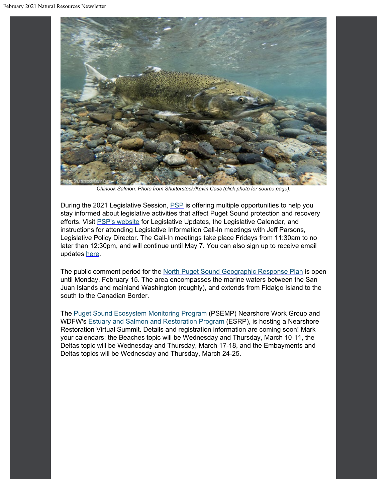

*Chinook Salmon. Photo from Shutterstock/Kevin Cass (click photo for source page).*

During the 2021 Legislative Session, **[PSP](https://psp.wa.gov/legislative_updates.php?utm_content=&utm_medium=email&utm_name=&utm_source=govdelivery&utm_term=)** is offering multiple opportunities to help you stay informed about legislative activities that affect Puget Sound protection and recovery efforts. Visit [PSP's website](https://psp.wa.gov/legislative_updates.php?utm_content=&utm_medium=email&utm_name=&utm_source=govdelivery&utm_term=) for Legislative Updates, the Legislative Calendar, and instructions for attending Legislative Information Call-In meetings with Jeff Parsons, Legislative Policy Director. The Call-In meetings take place Fridays from 11:30am to no later than 12:30pm, and will continue until May 7. You can also sign up to receive email updates [here](https://psp.wa.gov/legislative_updates.php?utm_content=&utm_medium=email&utm_name=&utm_source=govdelivery&utm_term=).

The public comment period for the [North Puget Sound Geographic Response Plan](https://fortress.wa.gov/ecy/ezshare/sppr/Preparedness/NPS-GRP/NPS_PublicReviewCoverPage.pdf?utm_content=&utm_medium=email&utm_name=&utm_source=govdelivery&utm_term=) is open until Monday, February 15. The area encompasses the marine waters between the San Juan Islands and mainland Washington (roughly), and extends from Fidalgo Island to the south to the Canadian Border.

The [Puget Sound Ecosystem Monitoring Program](https://www.psp.wa.gov/PSEMP-overview.php?utm_content=&utm_medium=email&utm_name=&utm_source=govdelivery&utm_term=) (PSEMP) Nearshore Work Group and WDFW's [Estuary and Salmon and Restoration Program](https://wdfw.wa.gov/species-habitats/habitat-recovery/nearshore/conservation/programs/esrp?utm_content=&utm_medium=email&utm_name=&utm_source=govdelivery&utm_term=) (ESRP), is hosting a Nearshore Restoration Virtual Summit. Details and registration information are coming soon! Mark your calendars; the Beaches topic will be Wednesday and Thursday, March 10-11, the Deltas topic will be Wednesday and Thursday, March 17-18, and the Embayments and Deltas topics will be Wednesday and Thursday, March 24-25.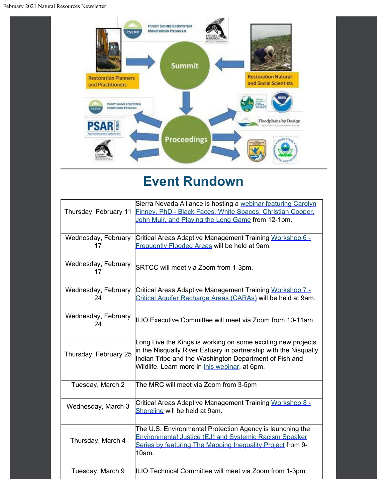February 2021 Natural Resources Newsletter



## **Event Rundown**

| Thursday, February 11     | Sierra Nevada Alliance is hosting a webinar featuring Carolyn<br>Finney, PhD - Black Faces, White Spaces: Christian Cooper,<br>John Muir, and Playing the Long Game from 12-1pm.                                                            |
|---------------------------|---------------------------------------------------------------------------------------------------------------------------------------------------------------------------------------------------------------------------------------------|
| Wednesday, February<br>17 | Critical Areas Adaptive Management Training Workshop 6 -<br>Frequently Flooded Areas will be held at 9am.                                                                                                                                   |
| Wednesday, February<br>17 | SRTCC will meet via Zoom from 1-3pm.                                                                                                                                                                                                        |
| Wednesday, February<br>24 | Critical Areas Adaptive Management Training Workshop 7 -<br>Critical Aquifer Recharge Areas (CARAs) will be held at 9am.                                                                                                                    |
| Wednesday, February<br>24 | ILIO Executive Committee will meet via Zoom from 10-11am.                                                                                                                                                                                   |
| Thursday, February 25     | Long Live the Kings is working on some exciting new projects<br>in the Nisqually River Estuary in partnership with the Nisqually<br>Indian Tribe and the Washington Department of Fish and<br>Wildlife. Learn more in this webinar, at 6pm. |
| Tuesday, March 2          | The MRC will meet via Zoom from 3-5pm                                                                                                                                                                                                       |
| Wednesday, March 3        | Critical Areas Adaptive Management Training Workshop 8 -<br>Shoreline will be held at 9am.                                                                                                                                                  |
| Thursday, March 4         | The U.S. Environmental Protection Agency is launching the<br><b>Environmental Justice (EJ) and Systemic Racism Speaker</b><br>Series by featuring The Mapping Inequality Project from 9-<br>10am.                                           |
| Tuesday, March 9          | ILIO Technical Committee will meet via Zoom from 1-3pm.                                                                                                                                                                                     |